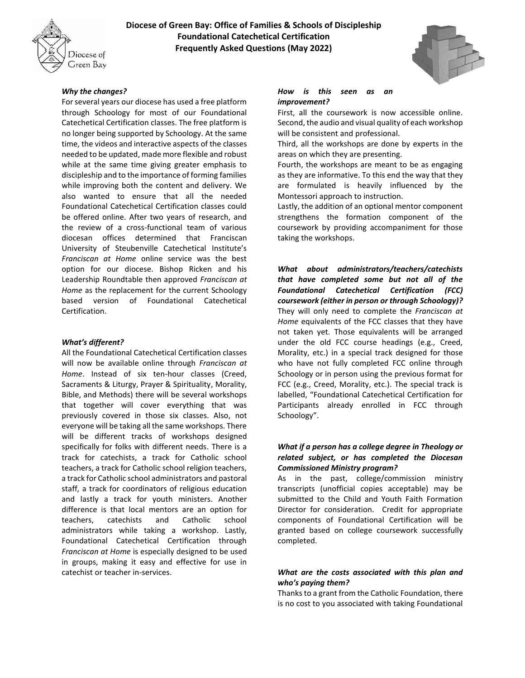

# **Diocese of Green Bay: Office of Families & Schools of Discipleship Foundational Catechetical Certification Frequently Asked Questions (May 2022)**



# *Why the changes?*

For several years our diocese has used a free platform through Schoology for most of our Foundational Catechetical Certification classes. The free platform is no longer being supported by Schoology. At the same time, the videos and interactive aspects of the classes needed to be updated, made more flexible and robust while at the same time giving greater emphasis to discipleship and to the importance of forming families while improving both the content and delivery. We also wanted to ensure that all the needed Foundational Catechetical Certification classes could be offered online. After two years of research, and the review of a cross-functional team of various diocesan offices determined that Franciscan University of Steubenville Catechetical Institute's *Franciscan at Home* online service was the best option for our diocese. Bishop Ricken and his Leadership Roundtable then approved *Franciscan at Home* as the replacement for the current Schoology based version of Foundational Catechetical Certification.

### *What's different?*

All the Foundational Catechetical Certification classes will now be available online through *Franciscan at Home*. Instead of six ten-hour classes (Creed, Sacraments & Liturgy, Prayer & Spirituality, Morality, Bible, and Methods) there will be several workshops that together will cover everything that was previously covered in those six classes. Also, not everyone will be taking all the same workshops. There will be different tracks of workshops designed specifically for folks with different needs. There is a track for catechists, a track for Catholic school teachers, a track for Catholic school religion teachers, a track for Catholic school administrators and pastoral staff, a track for coordinators of religious education and lastly a track for youth ministers. Another difference is that local mentors are an option for teachers, catechists and Catholic school administrators while taking a workshop. Lastly, Foundational Catechetical Certification through *Franciscan at Home* is especially designed to be used in groups, making it easy and effective for use in catechist or teacher in-services.

## *How is this seen as an improvement?*

First, all the coursework is now accessible online. Second, the audio and visual quality of each workshop will be consistent and professional.

Third, all the workshops are done by experts in the areas on which they are presenting.

Fourth, the workshops are meant to be as engaging as they are informative. To this end the way that they are formulated is heavily influenced by the Montessori approach to instruction.

Lastly, the addition of an optional mentor component strengthens the formation component of the coursework by providing accompaniment for those taking the workshops.

*What about administrators/teachers/catechists that have completed some but not all of the Foundational Catechetical Certification (FCC) coursework (either in person or through Schoology)?* They will only need to complete the *Franciscan at Home* equivalents of the FCC classes that they have not taken yet. Those equivalents will be arranged under the old FCC course headings (e.g., Creed, Morality, etc.) in a special track designed for those who have not fully completed FCC online through Schoology or in person using the previous format for FCC (e.g., Creed, Morality, etc.). The special track is labelled, "Foundational Catechetical Certification for Participants already enrolled in FCC through Schoology".

# *What if a person has a college degree in Theology or related subject, or has completed the Diocesan Commissioned Ministry program?*

As in the past, college/commission ministry transcripts (unofficial copies acceptable) may be submitted to the Child and Youth Faith Formation Director for consideration. Credit for appropriate components of Foundational Certification will be granted based on college coursework successfully completed.

# *What are the costs associated with this plan and who's paying them?*

Thanks to a grant from the Catholic Foundation, there is no cost to you associated with taking Foundational